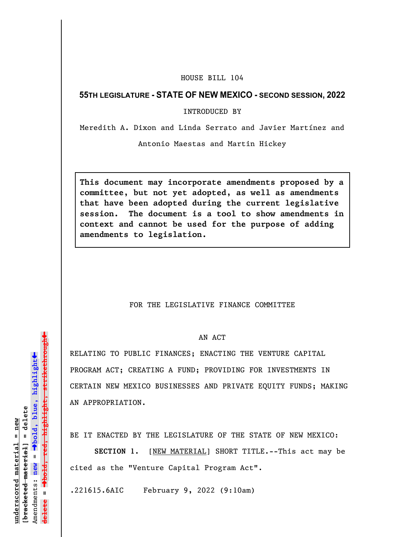## HOUSE BILL 104

## **55TH LEGISLATURE - STATE OF NEW MEXICO - SECOND SESSION, 2022**

INTRODUCED BY

Meredith A. Dixon and Linda Serrato and Javier Martínez and

Antonio Maestas and Martin Hickey

**This document may incorporate amendments proposed by a committee, but not yet adopted, as well as amendments that have been adopted during the current legislative session. The document is a tool to show amendments in context and cannot be used for the purpose of adding amendments to legislation.**

## FOR THE LEGISLATIVE FINANCE COMMITTEE

## AN ACT

RELATING TO PUBLIC FINANCES; ENACTING THE VENTURE CAPITAL PROGRAM ACT; CREATING A FUND; PROVIDING FOR INVESTMENTS IN CERTAIN NEW MEXICO BUSINESSES AND PRIVATE EQUITY FUNDS; MAKING AN APPROPRIATION.

BE IT ENACTED BY THE LEGISLATURE OF THE STATE OF NEW MEXICO:

**SECTION 1.** [NEW MATERIAL] SHORT TITLE.--This act may be cited as the "Venture Capital Program Act".

.221615.6AIC February 9, 2022 (9:10am)

»º**bold, red, highlight, strikethrough** highlight, strikethrou  $\ddot{\bullet}$ º**bold, blue, highlight**  $b$ racketed material] = delete **[bracketed material] = delete** inderscored material = new **underscored material = new** Amendments: new = Amendments: **new** =  $\mathbf{u}$ **delete =** lelete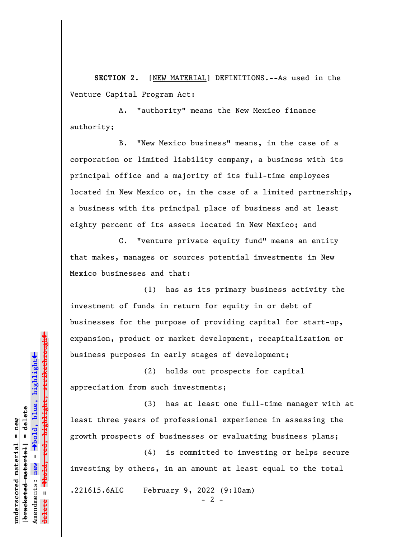**SECTION 2.** [NEW MATERIAL] DEFINITIONS.--As used in the Venture Capital Program Act:

A. "authority" means the New Mexico finance authority;

B. "New Mexico business" means, in the case of a corporation or limited liability company, a business with its principal office and a majority of its full-time employees located in New Mexico or, in the case of a limited partnership, a business with its principal place of business and at least eighty percent of its assets located in New Mexico; and

C. "venture private equity fund" means an entity that makes, manages or sources potential investments in New Mexico businesses and that:

(1) has as its primary business activity the investment of funds in return for equity in or debt of businesses for the purpose of providing capital for start-up, expansion, product or market development, recapitalization or business purposes in early stages of development;

(2) holds out prospects for capital appreciation from such investments;

(3) has at least one full-time manager with at least three years of professional experience in assessing the growth prospects of businesses or evaluating business plans;

(4) is committed to investing or helps secure investing by others, in an amount at least equal to the total

.221615.6AIC February 9, 2022 (9:10am)

 $- 2 -$ 

»º**bold, red, highlight, strikethrough**  $\ddot{\bullet}$ º**bold, blue, highlight** bracketed material] = delete **[bracketed material] = delete** inderscored material = new **underscored material = new** Amendments: **new** =  $\mathbf{u}$ Amendments: new **delete =**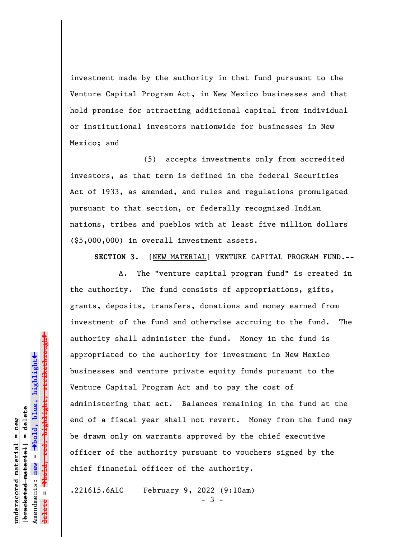investment made by the authority in that fund pursuant to the Venture Capital Program Act, in New Mexico businesses and that hold promise for attracting additional capital from individual or institutional investors nationwide for businesses in New Mexico; and

(5) accepts investments only from accredited investors, as that term is defined in the federal Securities Act of 1933, as amended, and rules and regulations promulgated pursuant to that section, or federally recognized Indian nations, tribes and pueblos with at least five million dollars (\$5,000,000) in overall investment assets.

**SECTION 3.** [NEW MATERIAL] VENTURE CAPITAL PROGRAM FUND.--

A. The "venture capital program fund" is created in the authority. The fund consists of appropriations, gifts, grants, deposits, transfers, donations and money earned from investment of the fund and otherwise accruing to the fund. The authority shall administer the fund. Money in the fund is appropriated to the authority for investment in New Mexico businesses and venture private equity funds pursuant to the Venture Capital Program Act and to pay the cost of administering that act. Balances remaining in the fund at the end of a fiscal year shall not revert. Money from the fund may be drawn only on warrants approved by the chief executive officer of the authority pursuant to vouchers signed by the chief financial officer of the authority.

.221615.6AIC February 9, 2022 (9:10am)

 $3 -$ 

 $\ddag$ º**bold, red, highlight, strikethrough**  $\ddot{\bullet}$ º**bold, blue, highlight**  $b$ racketed material] = delete **[bracketed material] = delete** inderscored material = new **underscored material = new** Amendments: **new** =  $\mathbf{u}$ Amendments: new **delete =**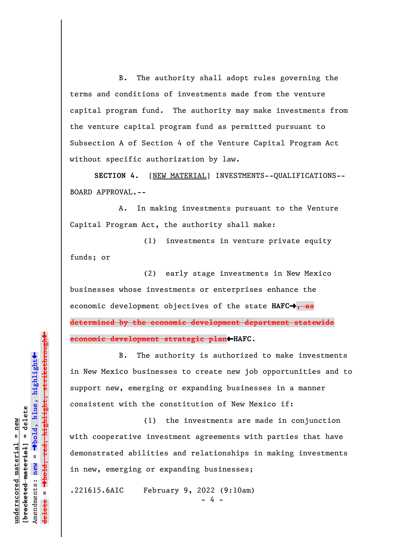B. The authority shall adopt rules governing the terms and conditions of investments made from the venture capital program fund. The authority may make investments from the venture capital program fund as permitted pursuant to Subsection A of Section 4 of the Venture Capital Program Act without specific authorization by law.

**SECTION 4.** [NEW MATERIAL] INVESTMENTS--QUALIFICATIONS-- BOARD APPROVAL.--

A. In making investments pursuant to the Venture Capital Program Act, the authority shall make:

(1) investments in venture private equity funds; or

(2) early stage investments in New Mexico businesses whose investments or enterprises enhance the economic development objectives of the state **HAFC**º**, as determined by the economic development department statewide economic development strategic plan**»**HAFC**.

B. The authority is authorized to make investments in New Mexico businesses to create new job opportunities and to support new, emerging or expanding businesses in a manner consistent with the constitution of New Mexico if:

(1) the investments are made in conjunction with cooperative investment agreements with parties that have demonstrated abilities and relationships in making investments in new, emerging or expanding businesses;

.221615.6AIC February 9, 2022 (9:10am)

- 4 -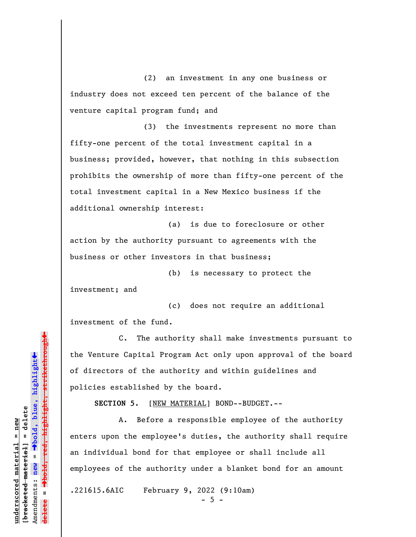(2) an investment in any one business or industry does not exceed ten percent of the balance of the venture capital program fund; and

(3) the investments represent no more than fifty-one percent of the total investment capital in a business; provided, however, that nothing in this subsection prohibits the ownership of more than fifty-one percent of the total investment capital in a New Mexico business if the additional ownership interest:

(a) is due to foreclosure or other action by the authority pursuant to agreements with the business or other investors in that business;

(b) is necessary to protect the investment; and

(c) does not require an additional investment of the fund.

C. The authority shall make investments pursuant to the Venture Capital Program Act only upon approval of the board of directors of the authority and within guidelines and policies established by the board.

**SECTION 5.** [NEW MATERIAL] BOND--BUDGET.--

A. Before a responsible employee of the authority enters upon the employee's duties, the authority shall require an individual bond for that employee or shall include all employees of the authority under a blanket bond for an amount

.221615.6AIC February 9, 2022 (9:10am)

 $-5 -$ 

Dold, red, highlight, strikethrough º**bold, red, highlight, strikethrough**  $\ddot{\bullet}$ º**bold, blue, highlight**  $b$ racketed material] = delete **[bracketed material] = delete** inderscored material = new **underscored material = new** Amendments: **new** =  $\mathbf{u}$ Amendments: new **delete =**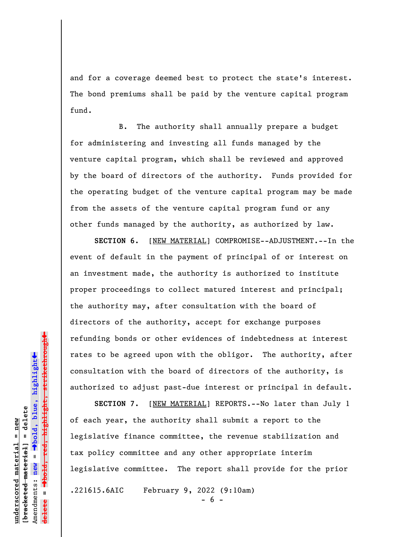and for a coverage deemed best to protect the state's interest. The bond premiums shall be paid by the venture capital program fund.

B. The authority shall annually prepare a budget for administering and investing all funds managed by the venture capital program, which shall be reviewed and approved by the board of directors of the authority. Funds provided for the operating budget of the venture capital program may be made from the assets of the venture capital program fund or any other funds managed by the authority, as authorized by law.

**SECTION 6.** [NEW MATERIAL] COMPROMISE--ADJUSTMENT.--In the event of default in the payment of principal of or interest on an investment made, the authority is authorized to institute proper proceedings to collect matured interest and principal; the authority may, after consultation with the board of directors of the authority, accept for exchange purposes refunding bonds or other evidences of indebtedness at interest rates to be agreed upon with the obligor. The authority, after consultation with the board of directors of the authority, is authorized to adjust past-due interest or principal in default.

**SECTION 7.** [NEW MATERIAL] REPORTS.--No later than July 1 of each year, the authority shall submit a report to the legislative finance committee, the revenue stabilization and tax policy committee and any other appropriate interim legislative committee. The report shall provide for the prior .221615.6AIC February 9, 2022 (9:10am)

**underscored material = new [bracketed material] = delete**

 $b$ racketed material] = delete inderscored material = new

Amendments: **new** =

Amendments: new

 $\mathbf{u}$ 

**delete =**

º**bold, blue, highlight**

º**bold, red, highlight, strikethrough**

 $\ddot{\bullet}$ 

 $\ddag$ 

 $6 -$